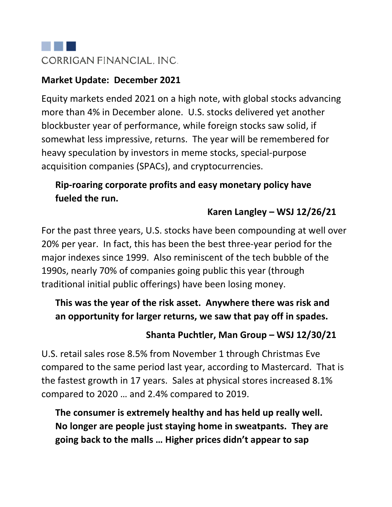

#### **Market Update: December 2021**

Equity markets ended 2021 on a high note, with global stocks advancing more than 4% in December alone. U.S. stocks delivered yet another blockbuster year of performance, while foreign stocks saw solid, if somewhat less impressive, returns. The year will be remembered for heavy speculation by investors in meme stocks, special-purpose acquisition companies (SPACs), and cryptocurrencies.

# **Rip-roaring corporate profits and easy monetary policy have fueled the run.**

# **Karen Langley – WSJ 12/26/21**

For the past three years, U.S. stocks have been compounding at well over 20% per year. In fact, this has been the best three-year period for the major indexes since 1999. Also reminiscent of the tech bubble of the 1990s, nearly 70% of companies going public this year (through traditional initial public offerings) have been losing money.

# **This was the year of the risk asset. Anywhere there was risk and an opportunity for larger returns, we saw that pay off in spades.**

# **Shanta Puchtler, Man Group – WSJ 12/30/21**

U.S. retail sales rose 8.5% from November 1 through Christmas Eve compared to the same period last year, according to Mastercard. That is the fastest growth in 17 years. Sales at physical stores increased 8.1% compared to 2020 … and 2.4% compared to 2019.

**The consumer is extremely healthy and has held up really well. No longer are people just staying home in sweatpants. They are going back to the malls … Higher prices didn't appear to sap**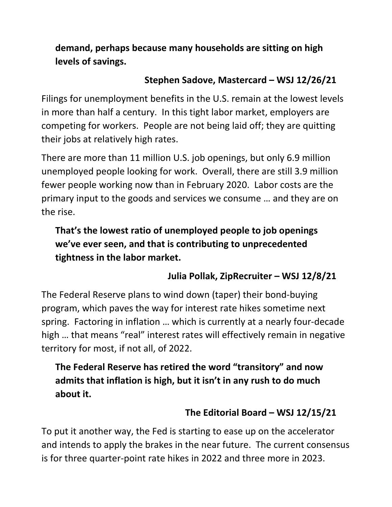**demand, perhaps because many households are sitting on high levels of savings.**

#### **Stephen Sadove, Mastercard – WSJ 12/26/21**

Filings for unemployment benefits in the U.S. remain at the lowest levels in more than half a century. In this tight labor market, employers are competing for workers. People are not being laid off; they are quitting their jobs at relatively high rates.

There are more than 11 million U.S. job openings, but only 6.9 million unemployed people looking for work. Overall, there are still 3.9 million fewer people working now than in February 2020. Labor costs are the primary input to the goods and services we consume … and they are on the rise.

# **That's the lowest ratio of unemployed people to job openings we've ever seen, and that is contributing to unprecedented tightness in the labor market.**

# **Julia Pollak, ZipRecruiter – WSJ 12/8/21**

The Federal Reserve plans to wind down (taper) their bond-buying program, which paves the way for interest rate hikes sometime next spring. Factoring in inflation … which is currently at a nearly four-decade high … that means "real" interest rates will effectively remain in negative territory for most, if not all, of 2022.

**The Federal Reserve has retired the word "transitory" and now admits that inflation is high, but it isn't in any rush to do much about it.**

# **The Editorial Board – WSJ 12/15/21**

To put it another way, the Fed is starting to ease up on the accelerator and intends to apply the brakes in the near future. The current consensus is for three quarter-point rate hikes in 2022 and three more in 2023.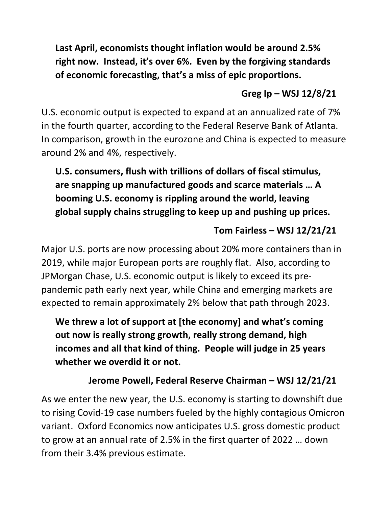**Last April, economists thought inflation would be around 2.5% right now. Instead, it's over 6%. Even by the forgiving standards of economic forecasting, that's a miss of epic proportions.**

### **Greg Ip – WSJ 12/8/21**

U.S. economic output is expected to expand at an annualized rate of 7% in the fourth quarter, according to the Federal Reserve Bank of Atlanta. In comparison, growth in the eurozone and China is expected to measure around 2% and 4%, respectively.

# **U.S. consumers, flush with trillions of dollars of fiscal stimulus, are snapping up manufactured goods and scarce materials … A booming U.S. economy is rippling around the world, leaving global supply chains struggling to keep up and pushing up prices.**

### **Tom Fairless – WSJ 12/21/21**

Major U.S. ports are now processing about 20% more containers than in 2019, while major European ports are roughly flat. Also, according to JPMorgan Chase, U.S. economic output is likely to exceed its prepandemic path early next year, while China and emerging markets are expected to remain approximately 2% below that path through 2023.

**We threw a lot of support at [the economy] and what's coming out now is really strong growth, really strong demand, high incomes and all that kind of thing. People will judge in 25 years whether we overdid it or not.**

# **Jerome Powell, Federal Reserve Chairman – WSJ 12/21/21**

As we enter the new year, the U.S. economy is starting to downshift due to rising Covid-19 case numbers fueled by the highly contagious Omicron variant. Oxford Economics now anticipates U.S. gross domestic product to grow at an annual rate of 2.5% in the first quarter of 2022 … down from their 3.4% previous estimate.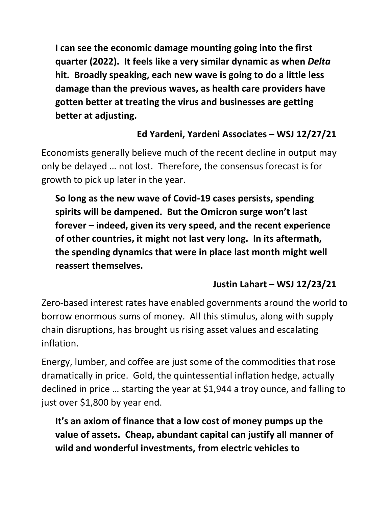**I can see the economic damage mounting going into the first quarter (2022). It feels like a very similar dynamic as when** *Delta* **hit. Broadly speaking, each new wave is going to do a little less damage than the previous waves, as health care providers have gotten better at treating the virus and businesses are getting better at adjusting.**

# **Ed Yardeni, Yardeni Associates – WSJ 12/27/21**

Economists generally believe much of the recent decline in output may only be delayed … not lost. Therefore, the consensus forecast is for growth to pick up later in the year.

**So long as the new wave of Covid-19 cases persists, spending spirits will be dampened. But the Omicron surge won't last forever – indeed, given its very speed, and the recent experience of other countries, it might not last very long. In its aftermath, the spending dynamics that were in place last month might well reassert themselves.**

# **Justin Lahart – WSJ 12/23/21**

Zero-based interest rates have enabled governments around the world to borrow enormous sums of money. All this stimulus, along with supply chain disruptions, has brought us rising asset values and escalating inflation.

Energy, lumber, and coffee are just some of the commodities that rose dramatically in price. Gold, the quintessential inflation hedge, actually declined in price … starting the year at \$1,944 a troy ounce, and falling to just over \$1,800 by year end.

**It's an axiom of finance that a low cost of money pumps up the value of assets. Cheap, abundant capital can justify all manner of wild and wonderful investments, from electric vehicles to**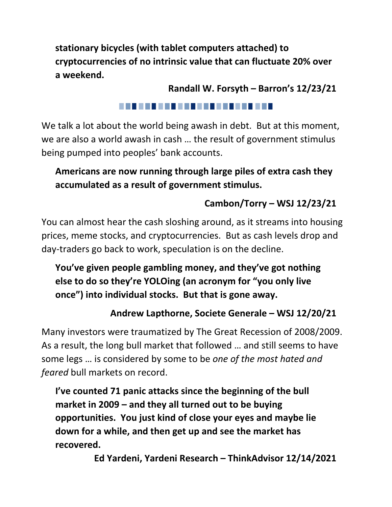**stationary bicycles (with tablet computers attached) to cryptocurrencies of no intrinsic value that can fluctuate 20% over a weekend.**

**Randall W. Forsyth – Barron's 12/23/21**

#### . . . . . . . . . . . . . . . . . . . .

We talk a lot about the world being awash in debt. But at this moment, we are also a world awash in cash … the result of government stimulus being pumped into peoples' bank accounts.

# **Americans are now running through large piles of extra cash they accumulated as a result of government stimulus.**

# **Cambon/Torry – WSJ 12/23/21**

You can almost hear the cash sloshing around, as it streams into housing prices, meme stocks, and cryptocurrencies. But as cash levels drop and day-traders go back to work, speculation is on the decline.

# **You've given people gambling money, and they've got nothing else to do so they're YOLOing (an acronym for "you only live once") into individual stocks. But that is gone away.**

# **Andrew Lapthorne, Societe Generale – WSJ 12/20/21**

Many investors were traumatized by The Great Recession of 2008/2009. As a result, the long bull market that followed … and still seems to have some legs … is considered by some to be *one of the most hated and feared* bull markets on record.

**I've counted 71 panic attacks since the beginning of the bull market in 2009 – and they all turned out to be buying opportunities. You just kind of close your eyes and maybe lie down for a while, and then get up and see the market has recovered.**

**Ed Yardeni, Yardeni Research – ThinkAdvisor 12/14/2021**